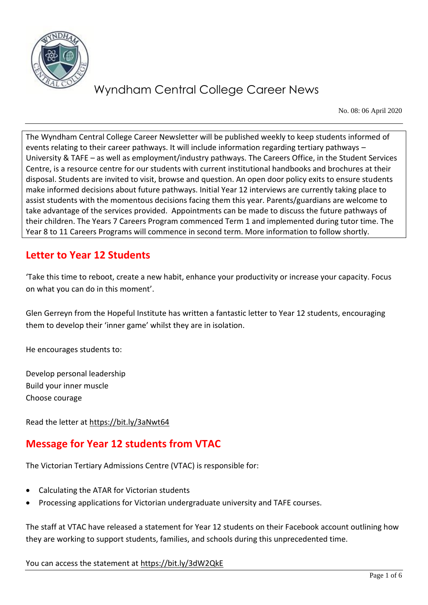

No. 08: 06 April 2020

The Wyndham Central College Career Newsletter will be published weekly to keep students informed of events relating to their career pathways. It will include information regarding tertiary pathways – University & TAFE – as well as employment/industry pathways. The Careers Office, in the Student Services Centre, is a resource centre for our students with current institutional handbooks and brochures at their disposal. Students are invited to visit, browse and question. An open door policy exits to ensure students make informed decisions about future pathways. Initial Year 12 interviews are currently taking place to assist students with the momentous decisions facing them this year. Parents/guardians are welcome to take advantage of the services provided. Appointments can be made to discuss the future pathways of their children. The Years 7 Careers Program commenced Term 1 and implemented during tutor time. The Year 8 to 11 Careers Programs will commence in second term. More information to follow shortly.

### **Letter to Year 12 Students**

'Take this time to reboot, create a new habit, enhance your productivity or increase your capacity. Focus on what you can do in this moment'.

Glen Gerreyn from the Hopeful Institute has written a fantastic letter to Year 12 students, encouraging them to develop their 'inner game' whilst they are in isolation.

He encourages students to:

Develop personal leadership Build your inner muscle Choose courage

Read the letter at<https://bit.ly/3aNwt64>

## **Message for Year 12 students from VTAC**

The Victorian Tertiary Admissions Centre (VTAC) is responsible for:

- Calculating the ATAR for Victorian students
- Processing applications for Victorian undergraduate university and TAFE courses.

The staff at VTAC have released a statement for Year 12 students on their Facebook account outlining how they are working to support students, families, and schools during this unprecedented time.

You can access the statement at<https://bit.ly/3dW2QkE>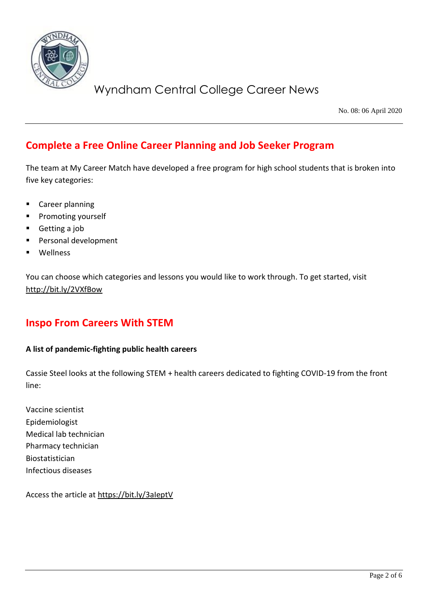

No. 08: 06 April 2020

### **Complete a Free Online Career Planning and Job Seeker Program**

The team at My Career Match have developed a free program for high school students that is broken into five key categories:

- Career planning
- Promoting yourself
- Getting a job
- Personal development
- **Wellness**

You can choose which categories and lessons you would like to work through. To get started, visit <http://bit.ly/2VXfBow>

### **Inspo From Careers With STEM**

### **A list of pandemic-fighting public health careers**

Cassie Steel looks at the following STEM + health careers dedicated to fighting COVID-19 from the front line:

Vaccine scientist Epidemiologist Medical lab technician Pharmacy technician Biostatistician Infectious diseases

Access the article at<https://bit.ly/3aIeptV>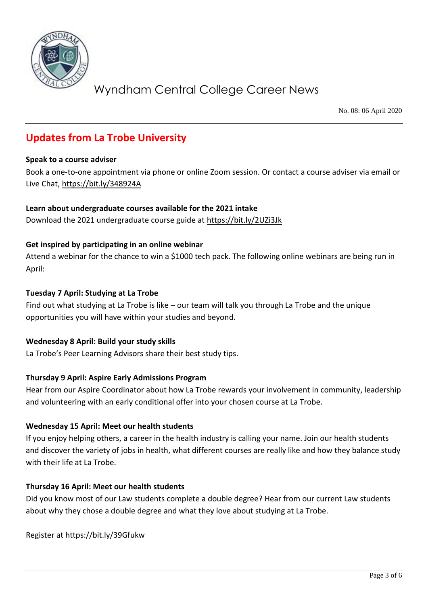

No. 08: 06 April 2020

## **Updates from La Trobe University**

#### **Speak to a course adviser**

Book a one-to-one appointment via phone or online Zoom session. Or contact a course adviser via email or Live Chat,<https://bit.ly/348924A>

### **Learn about undergraduate courses available for the 2021 intake**

Download the 2021 undergraduate course guide at<https://bit.ly/2UZi3Jk>

### **Get inspired by participating in an online webinar**

Attend a webinar for the chance to win a \$1000 tech pack. The following online webinars are being run in April:

#### **Tuesday 7 April: Studying at La Trobe**

Find out what studying at La Trobe is like – our team will talk you through La Trobe and the unique opportunities you will have within your studies and beyond.

### **Wednesday 8 April: Build your study skills**

La Trobe's Peer Learning Advisors share their best study tips.

### **Thursday 9 April: Aspire Early Admissions Program**

Hear from our Aspire Coordinator about how La Trobe rewards your involvement in community, leadership and volunteering with an early conditional offer into your chosen course at La Trobe.

### **Wednesday 15 April: Meet our health students**

If you enjoy helping others, a career in the health industry is calling your name. Join our health students and discover the variety of jobs in health, what different courses are really like and how they balance study with their life at La Trobe.

### **Thursday 16 April: Meet our health students**

Did you know most of our Law students complete a double degree? Hear from our current Law students about why they chose a double degree and what they love about studying at La Trobe.

Register at<https://bit.ly/39Gfukw>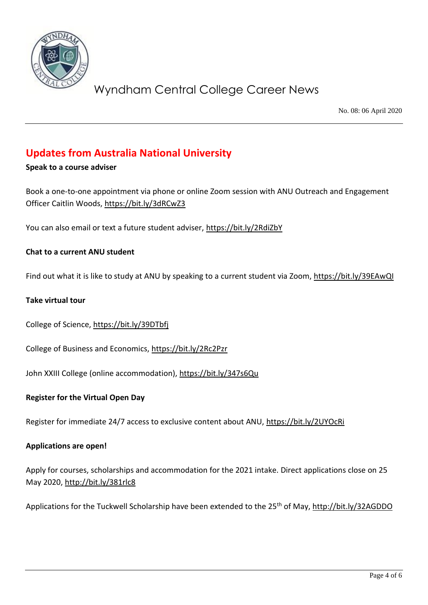

No. 08: 06 April 2020

### **Updates from Australia National University**

### **Speak to a course adviser**

Book a one-to-one appointment via phone or online Zoom session with ANU Outreach and Engagement Officer Caitlin Woods,<https://bit.ly/3dRCwZ3>

You can also email or text a future student adviser,<https://bit.ly/2RdiZbY>

### **Chat to a current ANU student**

Find out what it is like to study at ANU by speaking to a current student via Zoom,<https://bit.ly/39EAwQI>

#### **Take virtual tour**

College of Science,<https://bit.ly/39DTbfj>

College of Business and Economics,<https://bit.ly/2Rc2Pzr>

John XXIII College (online accommodation),<https://bit.ly/347s6Qu>

#### **Register for the Virtual Open Day**

Register for immediate 24/7 access to exclusive content about ANU,<https://bit.ly/2UYOcRi>

#### **Applications are open!**

Apply for courses, scholarships and accommodation for the 2021 intake. Direct applications close on 25 May 2020,<http://bit.ly/381rlc8>

Applications for the Tuckwell Scholarship have been extended to the 25<sup>th</sup> of May[, http://bit.ly/32AGDDO](http://bit.ly/32AGDDO)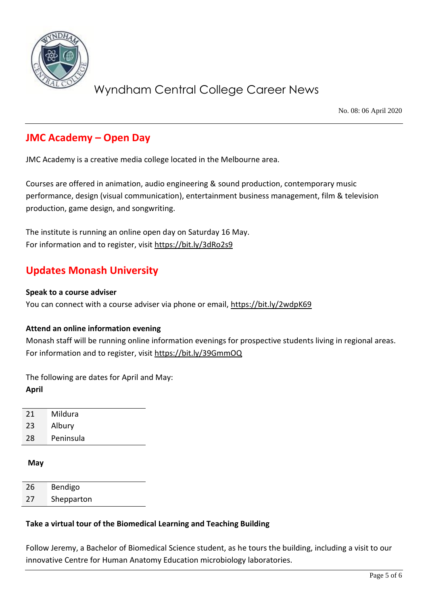

No. 08: 06 April 2020

### **JMC Academy – Open Day**

JMC Academy is a creative media college located in the Melbourne area.

Courses are offered in animation, audio engineering & sound production, contemporary music performance, design (visual communication), entertainment business management, film & television production, game design, and songwriting.

The institute is running an online open day on Saturday 16 May. For information and to register, visit<https://bit.ly/3dRo2s9>

### **Updates Monash University**

#### **Speak to a course adviser**

You can connect with a course adviser via phone or email,<https://bit.ly/2wdpK69>

### **Attend an online information evening**

Monash staff will be running online information evenings for prospective students living in regional areas. For information and to register, visit<https://bit.ly/39GmmOQ>

The following are dates for April and May: **April**

21 Mildura

23 Albury

28 Peninsula

#### **May**

| 26 | Bendigo    |
|----|------------|
| 27 | Shepparton |

### **Take a virtual tour of the Biomedical Learning and Teaching Building**

Follow Jeremy, a Bachelor of Biomedical Science student, as he tours the building, including a visit to our innovative Centre for Human Anatomy Education microbiology laboratories.